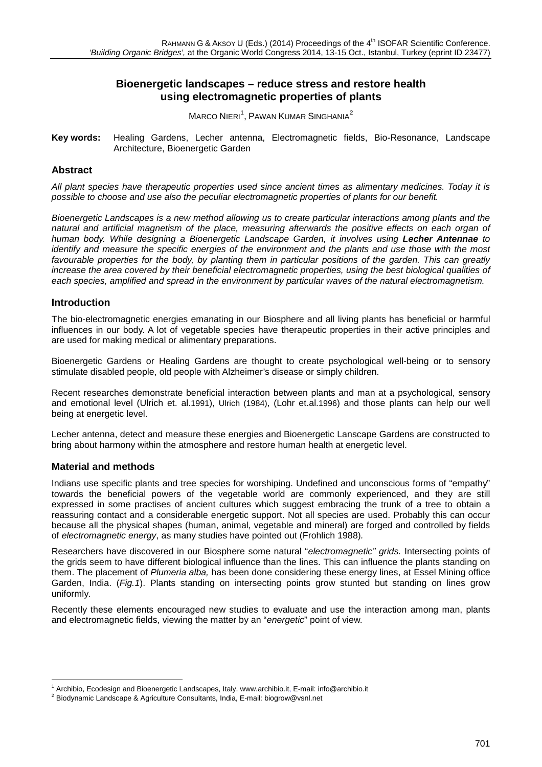# **Bioenergetic landscapes – reduce stress and restore health using electromagnetic properties of plants**

 $M$ ARCO  $N$ ieri $^1$  $^1$ , Pawan Kumar Singhania $^2$  $^2$ 

**Key words:** Healing Gardens, Lecher antenna, Electromagnetic fields, Bio-Resonance, Landscape Architecture, Bioenergetic Garden

## **Abstract**

*All plant species have therapeutic properties used since ancient times as alimentary medicines. Today it is possible to choose and use also the peculiar electromagnetic properties of plants for our benefit.* 

*Bioenergetic Landscapes is a new method allowing us to create particular interactions among plants and the natural and artificial magnetism of the place, measuring afterwards the positive effects on each organ of human body. While designing a Bioenergetic Landscape Garden, it involves using Lecher Antennae to identify and measure the specific energies of the environment and the plants and use those with the most*  favourable properties for the body, by planting them in particular positions of the garden. This can greatly *increase the area covered by their beneficial electromagnetic properties, using the best biological qualities of each species, amplified and spread in the environment by particular waves of the natural electromagnetism.* 

## **Introduction**

The bio-electromagnetic energies emanating in our Biosphere and all living plants has beneficial or harmful influences in our body. A lot of vegetable species have therapeutic properties in their active principles and are used for making medical or alimentary preparations.

Bioenergetic Gardens or Healing Gardens are thought to create psychological well-being or to sensory stimulate disabled people, old people with Alzheimer's disease or simply children.

Recent researches demonstrate beneficial interaction between plants and man at a psychological, sensory and emotional level (Ulrich et. al.1991), Ulrich (1984), (Lohr et.al.1996) and those plants can help our well being at energetic level.

Lecher antenna, detect and measure these energies and Bioenergetic Lanscape Gardens are constructed to bring about harmony within the atmosphere and restore human health at energetic level.

## **Material and methods**

Indians use specific plants and tree species for worshiping. Undefined and unconscious forms of "empathy" towards the beneficial powers of the vegetable world are commonly experienced, and they are still expressed in some practises of ancient cultures which suggest embracing the trunk of a tree to obtain a reassuring contact and a considerable energetic support. Not all species are used. Probably this can occur because all the physical shapes (human, animal, vegetable and mineral) are forged and controlled by fields of *electromagnetic energy*, as many studies have pointed out (Frohlich 1988)*.*

Researchers have discovered in our Biosphere some natural "*electromagnetic" grids.* Intersecting points of the grids seem to have different biological influence than the lines. This can influence the plants standing on them. The placement of *Plumeria alba,* has been done considering these energy lines, at Essel Mining office Garden, India. (*Fig.1*). Plants standing on intersecting points grow stunted but standing on lines grow uniformly.

Recently these elements encouraged new studies to evaluate and use the interaction among man, plants and electromagnetic fields, viewing the matter by an "*energetic*" point of view.

<span id="page-0-0"></span><sup>&</sup>lt;sup>1</sup> Archibio, Ecodesign and Bioenergetic Landscapes, Italy[. www.archibio.it,](http://www.archibio.it/) E-mail: [info@archibio.it](mailto:info@archibio.it) <sup>2</sup> Biodynamic Landscape & Agriculture Consultants, India, E-mail[: biogrow@vsnl.net](mailto:biogrow@vsnl.net)

<span id="page-0-1"></span>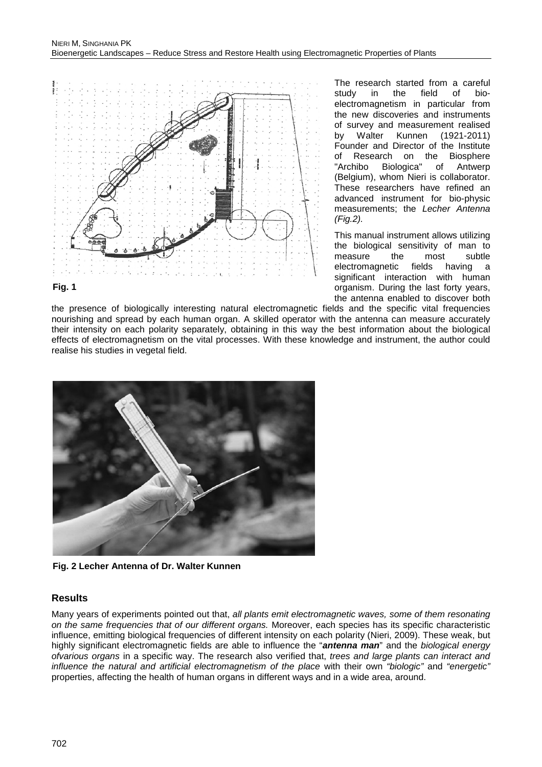

#### **Fig. 1**

The research started from a careful<br>study in the field of biothe field of bioelectromagnetism in particular from the new discoveries and instruments of survey and measurement realised<br>by Walter Kunnen (1921-2011) by Walter Kunnen (1921-2011) Founder and Director of the Institute<br>of Research on the Biosphere of Research on the Biosphere<br>"Archibo Biologica" of Antwerp Biologica" (Belgium), whom Nieri is collaborator. These researchers have refined an advanced instrument for bio-physic measurements; the *Lecher Antenna (Fig.2).*

This manual instrument allows utilizing the biological sensitivity of man to<br>measure the most subtle measure electromagnetic fields having a significant interaction with human organism. During the last forty years, the antenna enabled to discover both

the presence of biologically interesting natural electromagnetic fields and the specific vital frequencies nourishing and spread by each human organ. A skilled operator with the antenna can measure accurately their intensity on each polarity separately, obtaining in this way the best information about the biological effects of electromagnetism on the vital processes. With these knowledge and instrument, the author could realise his studies in vegetal field.



**Fig. 2 Lecher Antenna of Dr. Walter Kunnen**

# **Results**

Many years of experiments pointed out that, *all plants emit electromagnetic waves, some of them resonating on the same frequencies that of our different organs.* Moreover, each species has its specific characteristic influence, emitting biological frequencies of different intensity on each polarity (Nieri, 2009). These weak, but highly significant electromagnetic fields are able to influence the "*antenna man*" and the *biological energy ofvarious organs* in a specific way. The research also verified that, *trees and large plants can interact and influence the natural and artificial electromagnetism of the place* with their own *"biologic"* and *"energetic"* properties, affecting the health of human organs in different ways and in a wide area, around.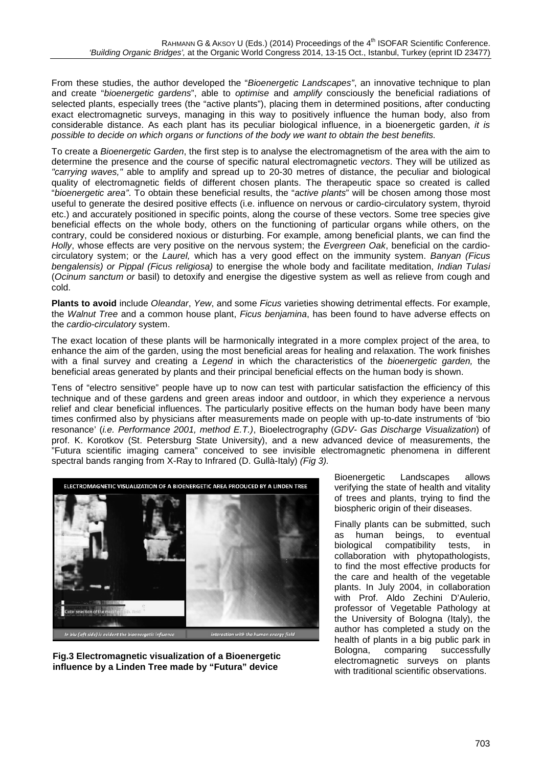From these studies, the author developed the "*Bioenergetic Landscapes"*, an innovative technique to plan and create "*bioenergetic gardens*", able to *optimise* and *amplify* consciously the beneficial radiations of selected plants, especially trees (the "active plants"), placing them in determined positions, after conducting exact electromagnetic surveys, managing in this way to positively influence the human body, also from considerable distance. As each plant has its peculiar biological influence, in a bioenergetic garden, *it is possible to decide on which organs or functions of the body we want to obtain the best benefits.* 

To create a *Bioenergetic Garden*, the first step is to analyse the electromagnetism of the area with the aim to determine the presence and the course of specific natural electromagnetic *vectors*. They will be utilized as *"carrying waves,"* able to amplify and spread up to 20-30 metres of distance, the peculiar and biological quality of electromagnetic fields of different chosen plants. The therapeutic space so created is called "*bioenergetic area"*. To obtain these beneficial results, the "*active plants*" will be chosen among those most useful to generate the desired positive effects (i.e. influence on nervous or cardio-circulatory system, thyroid etc.) and accurately positioned in specific points, along the course of these vectors. Some tree species give beneficial effects on the whole body, others on the functioning of particular organs while others, on the contrary, could be considered noxious or disturbing. For example, among beneficial plants, we can find the *Holly*, whose effects are very positive on the nervous system; the *Evergreen Oak*, beneficial on the cardiocirculatory system; or the *Laurel,* which has a very good effect on the immunity system. *Banyan (Ficus bengalensis) or Pippal (Ficus religiosa)* to energise the whole body and facilitate meditation, *Indian Tulasi*  (*Ocinum sanctum or* basil) to detoxify and energise the digestive system as well as relieve from cough and cold.

**Plants to avoid** include *Oleandar*, *Yew*, and some *Ficus* varieties showing detrimental effects. For example, the *Walnut Tree* and a common house plant, *Ficus benjamina*, has been found to have adverse effects on the *cardio-circulatory* system.

The exact location of these plants will be harmonically integrated in a more complex project of the area, to enhance the aim of the garden, using the most beneficial areas for healing and relaxation. The work finishes with a final survey and creating a *Legend* in which the characteristics of the *bioenergetic garden,* the beneficial areas generated by plants and their principal beneficial effects on the human body is shown.

Tens of "electro sensitive" people have up to now can test with particular satisfaction the efficiency of this technique and of these gardens and green areas indoor and outdoor, in which they experience a nervous relief and clear beneficial influences. The particularly positive effects on the human body have been many times confirmed also by physicians after measurements made on people with up-to-date instruments of 'bio resonance' (*i.e. Performance 2001, method E.T.)*, Bioelectrography (*GDV- Gas Discharge Visualization*) of prof. K. Korotkov (St. Petersburg State University), and a new advanced device of measurements, the "Futura scientific imaging camera" conceived to see invisible electromagnetic phenomena in different spectral bands ranging from X-Ray to Infrared (D. Gullà-Italy) *(Fig 3).*



**Fig.3 Electromagnetic visualization of a Bioenergetic influence by a Linden Tree made by "Futura" device**

Bioenergetic Landscapes allows verifying the state of health and vitality of trees and plants, trying to find the biospheric origin of their diseases.

Finally plants can be submitted, such<br>as human beings, to eventual as human beings, to<br>biological compatibility compatibility tests, in collaboration with phytopathologists, to find the most effective products for the care and health of the vegetable plants. In July 2004, in collaboration with Prof. Aldo Zechini D'Aulerio, professor of Vegetable Pathology at the University of Bologna (Italy), the author has completed a study on the health of plants in a big public park in Bologna, comparing successfully electromagnetic surveys on plants with traditional scientific observations.